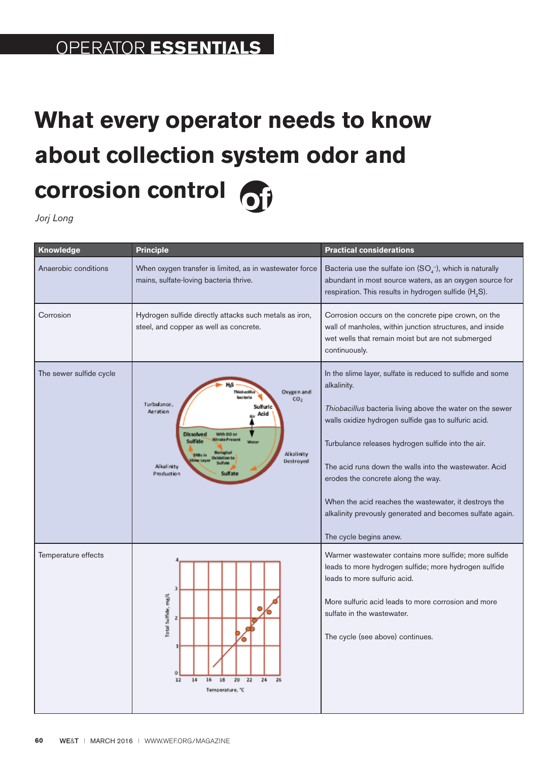## PROBLEM **SOLVERS** OPERATOR **ESSENTIALS**

## **What every operator needs to know about collection system odor and corrosion control**

*Jorj Long*

| Knowledge               | <b>Principle</b>                                                                                                                                                                                                       | <b>Practical considerations</b>                                                                                                                                                                                                                                                                                                                                                                                                                                                                      |
|-------------------------|------------------------------------------------------------------------------------------------------------------------------------------------------------------------------------------------------------------------|------------------------------------------------------------------------------------------------------------------------------------------------------------------------------------------------------------------------------------------------------------------------------------------------------------------------------------------------------------------------------------------------------------------------------------------------------------------------------------------------------|
| Anaerobic conditions    | When oxygen transfer is limited, as in wastewater force<br>mains, sulfate-loving bacteria thrive.                                                                                                                      | Bacteria use the sulfate ion $(SO4-)$ , which is naturally<br>abundant in most source waters, as an oxygen source for<br>respiration. This results in hydrogen sulfide (H <sub>2</sub> S).                                                                                                                                                                                                                                                                                                           |
| Corrosion               | Hydrogen sulfide directly attacks such metals as iron,<br>steel, and copper as well as concrete.                                                                                                                       | Corrosion occurs on the concrete pipe crown, on the<br>wall of manholes, within junction structures, and inside<br>wet wells that remain moist but are not submerged<br>continuously.                                                                                                                                                                                                                                                                                                                |
| The sewer sulfide cycle | Oxygen and<br>CO <sub>2</sub><br>Turbulance,<br>Sulfurie<br>Aeration<br>Acid<br><b>Dissolved</b><br>With DO or<br>Suiffide<br>Alkalinity<br>SEBs in<br><b>Christianism Fa</b><br>Destroyed<br>Alkalinity<br>Production | In the slime layer, sulfate is reduced to sulfide and some<br>alkalinity.<br>Thiobacillus bacteria living above the water on the sewer<br>walls oxidize hydrogen sulfide gas to sulfuric acid.<br>Turbulance releases hydrogen sulfide into the air.<br>The acid runs down the walls into the wastewater. Acid<br>erodes the concrete along the way.<br>When the acid reaches the wastewater, it destroys the<br>alkalinity prevously generated and becomes sulfate again.<br>The cycle begins anew. |
| Temperature effects     | 3<br>Total Suffide, mg/L<br>12<br>14<br>16<br>18<br>20<br>22<br>24<br>26<br>Temperature, "C                                                                                                                            | Warmer wastewater contains more sulfide; more sulfide<br>leads to more hydrogen sulfide; more hydrogen sulfide<br>leads to more sulfuric acid.<br>More sulfuric acid leads to more corrosion and more<br>sulfate in the wastewater.<br>The cycle (see above) continues.                                                                                                                                                                                                                              |